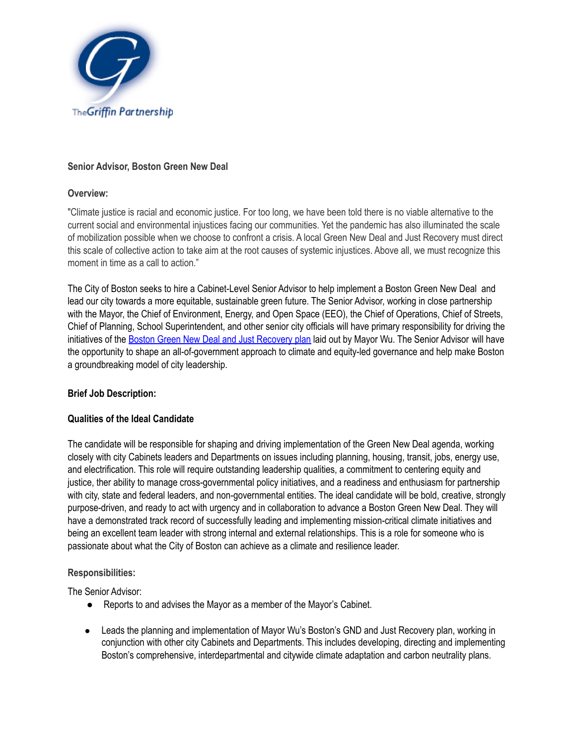

### **Senior Advisor, Boston Green New Deal**

### **Overview:**

"Climate justice is racial and economic justice. For too long, we have been told there is no viable alternative to the current social and environmental injustices facing our communities. Yet the pandemic has also illuminated the scale of mobilization possible when we choose to confront a crisis. A local Green New Deal and Just Recovery must direct this scale of collective action to take aim at the root causes of systemic injustices. Above all, we must recognize this moment in time as a call to action."

The City of Boston seeks to hire a Cabinet-Level Senior Advisor to help implement a Boston Green New Deal and lead our city towards a more equitable, sustainable green future. The Senior Advisor, working in close partnership with the Mayor, the Chief of Environment, Energy, and Open Space (EEO), the Chief of Operations, Chief of Streets, Chief of Planning, School Superintendent, and other senior city officials will have primary responsibility for driving the initiatives of the Boston Green New Deal and Just [Recovery](https://assets.ctfassets.net/1hf11j69ure4/B6NLxlOVxTVMNbHEvFaQE/700f4762bae92990f91327a7e01e2f09/Boston-Green-New-Deal-August-2020-FINAL.pdf) plan laid out by Mayor Wu. The Senior Advisor will have the opportunity to shape an all-of-government approach to climate and equity-led governance and help make Boston a groundbreaking model of city leadership.

# **Brief Job Description:**

#### **Qualities of the Ideal Candidate**

The candidate will be responsible for shaping and driving implementation of the Green New Deal agenda, working closely with city Cabinets leaders and Departments on issues including planning, housing, transit, jobs, energy use, and electrification. This role will require outstanding leadership qualities, a commitment to centering equity and justice, ther ability to manage cross-governmental policy initiatives, and a readiness and enthusiasm for partnership with city, state and federal leaders, and non-governmental entities. The ideal candidate will be bold, creative, strongly purpose-driven, and ready to act with urgency and in collaboration to advance a Boston Green New Deal. They will have a demonstrated track record of successfully leading and implementing mission-critical climate initiatives and being an excellent team leader with strong internal and external relationships. This is a role for someone who is passionate about what the City of Boston can achieve as a climate and resilience leader.

#### **Responsibilities:**

The Senior Advisor:

- Reports to and advises the Mayor as a member of the Mayor's Cabinet.
- Leads the planning and implementation of Mayor Wu's Boston's GND and Just Recovery plan, working in conjunction with other city Cabinets and Departments. This includes developing, directing and implementing Boston's comprehensive, interdepartmental and citywide climate adaptation and carbon neutrality plans.